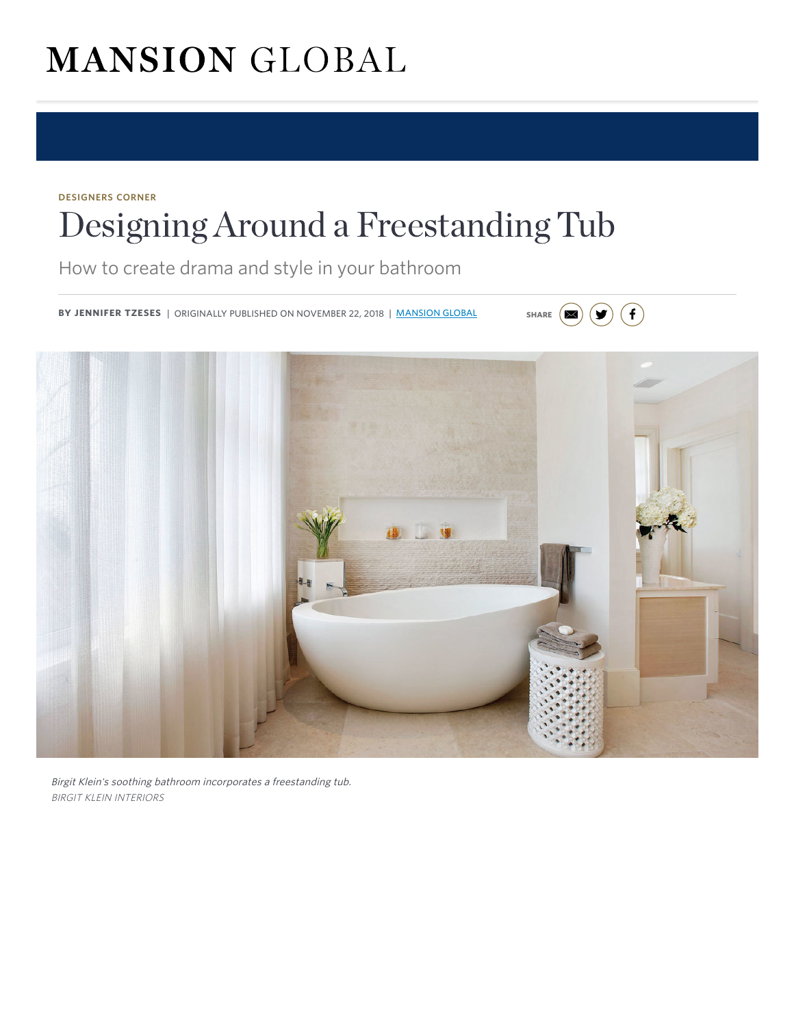# **MANSION GLOBAL**

# DESIGNERS CORNER [Designing Around a Freestanding Tub](https://adclick.g.doubleclick.net/pcs/click%253Fxai%253DAKAOjsv7iJIL6vb5Jf4jlgjRJA-yJ8F6OSdBpIlWrjrkAGiMK4SZwLgjJRp28tqgMlOEP0hykQe3dJyMZBRTFRgrkZ0x-QxeMktJYmfdr3T83qmeFotJSBVf6cUI-morCJi8tUSYdQMRtgMWvQzXNf97v4UqsCCUnYT6YjK5FbvbYvo5WW8fCcEIkz9RoAJSVzXqEQxALVBxE-JlChEjo8WjcFD30jkEXXzrSUs77jmCdM3XJEoSzOMHmCqqy3NQK4no1ZFr62BuTAFXULzmFPSl%2526sai%253DAMfl-YTGz0P_wQqCiKn6dB8W6LUU3wafos11ENIb6-ve6NWCjwPfVAccP3rs_wU2Zo7_n8FxTnr3NM-jKoc-QJkopnE3sEkCAVddxVh_DmTEpM1J1pqjtPw1-zq4Qo3I%2526sig%253DCg0ArKJSzOlsCQAIr_c-EAE%2526urlfix%253D1%2526adurl%253Dhttp://partners.wsj.com/united-airlines/new-york-minute/is-water-the-way)

How to create drama and style in your bathroom

BY JENNIFER TZESES | ORIGINALLY PUBLISHED ON NOVEMBER 22, 2018 | MANSION GLOBAL SHARE  $(\blacksquare)$ 



 $\bigodot$  (f)

Birgit Klein's soothing bathroom incorporates a freestanding tub. BIRGIT KLEIN INTERIORS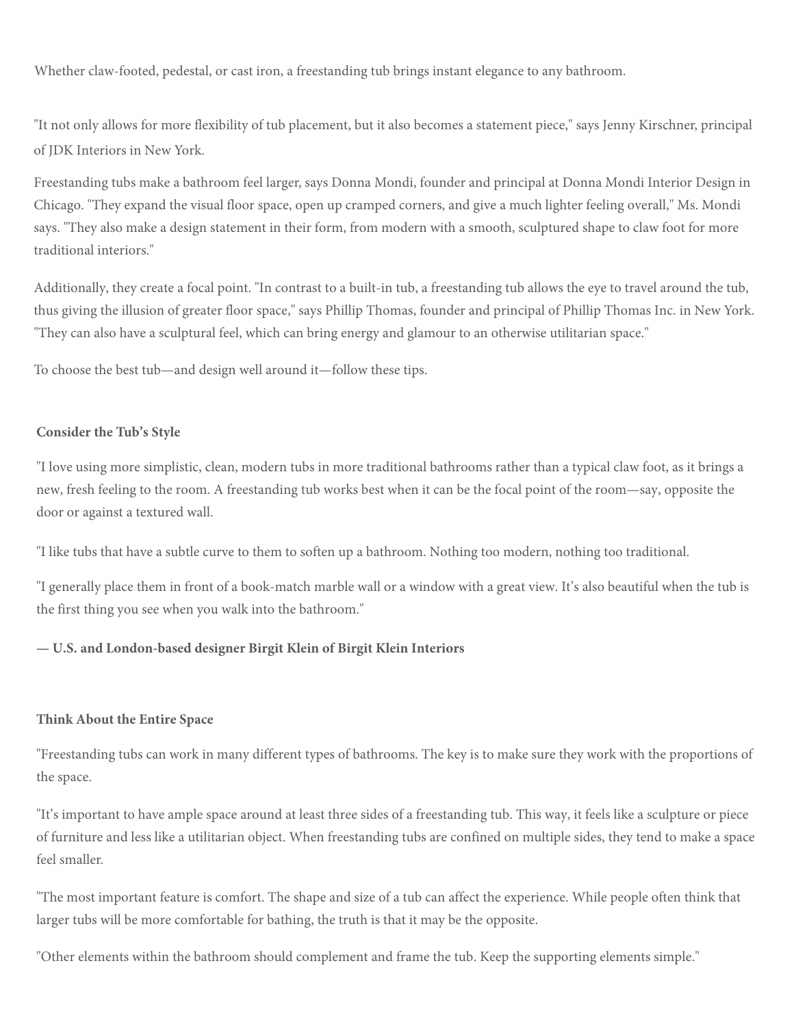Wh[ether claw-footed, pedestal, or cast ir](https://www.mansionglobal.com/)on, a freestanding tub brings instant elegance to any bathroo[m.](mailto:?subject=Designing%20Around%20a%20Freestanding%20Tub&body=https://www.mansionglobal.com/articles/designing-around-a-freestanding-tub-114853)

"It not only allows for more flexibility of tub placement, but it also becomes a statement piece," says Jenny Kirschner, principal of JDK Interiors in New York.

Freestanding tubs make a bathroom feel larger, says Donna Mondi, founder and principal at Donna Mondi Interior Design in Chicago. "They expand the visual floor space, open up cramped corners, and give a much lighter feeling overall," Ms. Mondi says. "They also make a design statement in their form, from modern with a smooth, sculptured shape to claw foot for more traditional interiors."

Additionally, they create a focal point. "In contrast to a built-in tub, a freestanding tub allows the eye to travel around the tub, thus giving the illusion of greater floor space," says Phillip Thomas, founder and principal of Phillip Thomas Inc. in New York. "They can also h[ave a sculptural feel, which can bring energy and glamour to an otherwise utilitarian space."](https://adclick.g.doubleclick.net/pcs/click?xai=AKAOjssNCp3CnPAJEtcL8vm4QuEEIzAoAQCREX88jITwQD0B6ZpucP9AAqdYELZMnsFm3WhfJjz9gzHBP6IbhmgQJ6NTU3W5DTiDU2-DuJqd_o5EprB-jRXTSp8gunzolI48Z0I_CFjqA8RNVyoncEyxQG-C091jEPp-SwbSAjUklKnfuQP_ZHQTQgRbORHR63YrU_3rpWJyvovE2fzyE3obAxt7-meJgOCyDsUfTw9FgDHhWAYIrYJw10cCwgvVY7b7tNxYoGMgwgvOtiPb5YAoIlVqZ15pUzqfhWnFzZw78jkRQTDqT3_JV4yYQolv3B37RXoiNnpDPHFnjG2WRFWIUJWomLTv&sai=AMfl-YQZJzORhu-XMYglJD_7SF-Zr9d7MpKFSdwfs-teXtzJjgcZuhXkV9sKYy96fiyTATwYgF9W0gJb_cS9slVZEqTU89ya0UE6_k_FVhIA3E6kCkvnnlx9jbNCf6rQ&sig=Cg0ArKJSzHnNJ27aq7fq&urlfix=1&adurl=https://www.waterlinesquare.com/%3Futm_source%3DMansionGlobal%26utm_medium%3Dmansionglobal%26utm_campaign%3DMG%2520Banners)

To choose the best tub—and design well around it—follow these tips.

#### **Consider the Tub's Style**

"I love using more simplistic, clean, modern tubs in more traditional bathrooms rather than a typical claw foot, as it brings a new, fresh feeling to the room. A freestanding tub works best when it can be the focal point of the room—say, opposite the door or against a textured wall.

"I like tubs that have a subtle curve to them to soften up a bathroom. Nothing too modern, nothing too traditional.

"I generally place them in front of a book-match marble wall or a window with a great view. It's also beautiful when the tub is the first thing you see when you walk into the bathroom."

#### **— U.S. and London-based designer Birgit Klein of Birgit Klein Interiors**

#### **Think About the Entire Space**

"Freestanding tubs can work in many different types of bathrooms. The key is to make sure they work with the proportions of the space.

"It's important to have ample space around at least three sides of a freestanding tub. This way, it feels like a sculpture or piece of furniture and less like a utilitarian object. When freestanding tubs are confined on multiple sides, they tend to make a space feel smaller.

"The most important feature is comfort. The shape and size of a tub can affect the experience. While people often think that larger tubs will be more comfortable for bathing, the truth is that it may be the opposite.

"Other elements within the bathroom should complement and frame the tub. Keep the supporting elements simple."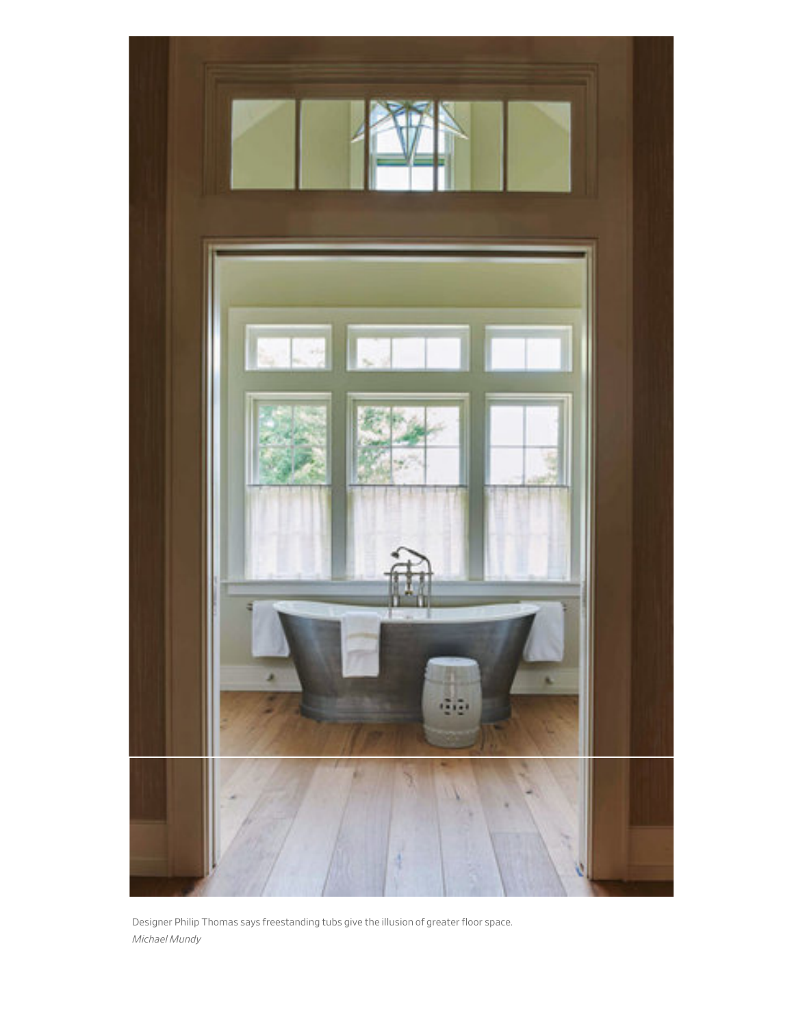

Designer Philip Thomas says freestanding tubs give the illusion of greater loor space. *Michael Mundy*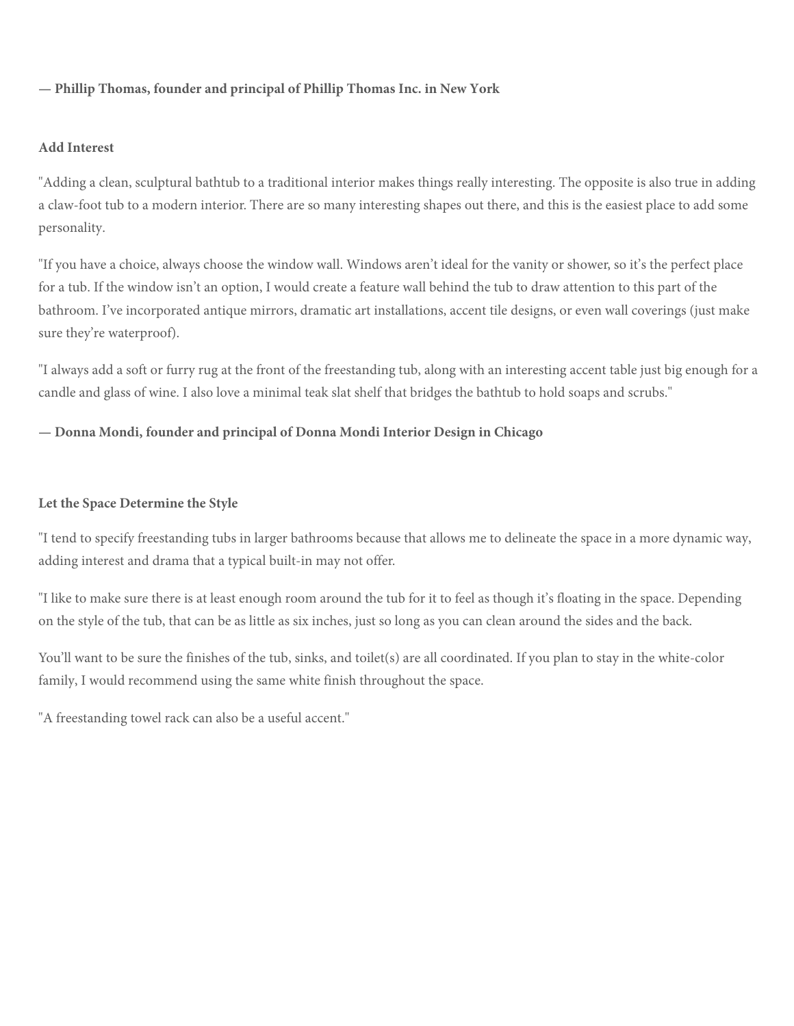# **— [Phillip Thomas, founder and princi](https://www.mansionglobal.com/)pal of Phillip Thomas Inc. in New York**

## **Add Interest**

"Adding a clean, sculptural bathtub to a traditional interior makes things really interesting. The opposite is also true in adding a claw-foot tub to a modern interior. There are so many interesting shapes out there, and this is the easiest place to add some personality.

"If you have a choice, always choose the window wall. Windows aren't ideal for the vanity or shower, so it's the perfect place for a tub. If the window isn't an option, I would create a feature wall behind the tub to draw attention to this part of the bathroom. I've incorporated antique mirrors, dramatic art installations, accent tile designs, or even wall coverings (just make sure they're [waterproof\).](https://www.barrons.com/articles/christies-to-auction-hermes-white-crocodile-himalaya-kelly-bag-in-asia-1542665407?mod=article_inline)

"I always add a soft or furry rug at the front of the freestanding tub, along with an interesting accent table just big enough for a candle and glass of wine. I also love a minimal teak slat shelf that bridges the bathtub to hold soaps and scrubs."

## **— Donna Mondi, founder and principal of Donna Mondi Interior Design in Chicago**

#### **Let the Space Determine the Style**

"I tend to specify freestanding tubs in larger bathrooms because that allows me to delineate the space in a more dynamic way, adding interest and drama that a typical built-in may not offer.

"I like to make sure there is at least enough room around the tub for it to feel as though it's floating in the space. Depending on the style of the tub, that can be as little as six inches, just so long as you can clean around the sides and the back.

You'll want to be sure the finishes of the tub, sinks, and toilet(s) are all coordinated. If you plan to stay in the white-color family[, I would recommend using the same white finish throughout the sp](https://www.mansionglobal.com/luxury-real-estate-news/subject/subject-design?mod=article_inline&mod=article_inline&mod=article_inline&mod=article_inline&mod=article_inline&mod=article_inline&mod=article_inline&mod=article_inline&mod=article_inline&mod=article_inline&mod=article_inline&mod=article_inline&mod=article_inline&mod=article_inline)ace.

"A freestanding towel rack can also be a useful accent."